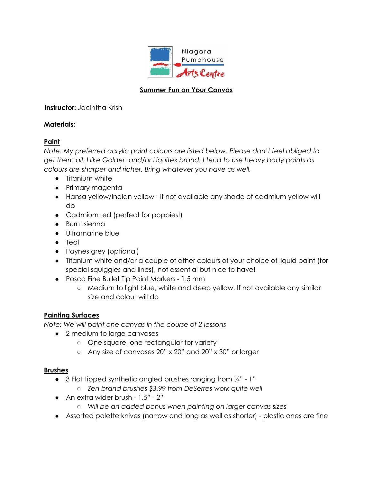

## **Summer Fun on Your Canvas**

## **Instructor:** Jacintha Krish

# **Materials:**

# **Paint**

*Note: My preferred acrylic paint colours are listed below. Please don't feel obliged to get them all. I like Golden and/or Liquitex brand. I tend to use heavy body paints as colours are sharper and richer. Bring whatever you have as well.*

- Titanium white
- Primary magenta
- Hansa yellow/Indian yellow if not available any shade of cadmium yellow will do
- Cadmium red (perfect for poppies!)
- Burnt sienna
- Ultramarine blue
- Teal
- Paynes grey (optional)
- Titanium white and/or a couple of other colours of your choice of liquid paint (for special squiggles and lines), not essential but nice to have!
- Posca Fine Bullet Tip Paint Markers 1.5 mm
	- Medium to light blue, white and deep yellow. If not available any similar size and colour will do

## **Painting Surfaces**

*Note: We will paint one canvas in the course of 2 lessons*

- 2 medium to large canvases
	- One square, one rectangular for variety
	- Any size of canvases 20" x 20" and 20" x 30" or larger

## **Brushes**

- $\bullet$  3 Flat tipped synthetic angled brushes ranging from  $\frac{1}{4}$ " 1"
	- *○ Zen brand brushes \$3.99 from DeSerres work quite well*
- *●* An extra wider brush 1.5" 2"
	- *○ Will be an added bonus when painting on larger canvas sizes*
- *●* Assorted palette knives (narrow and long as well as shorter) plastic ones are fine